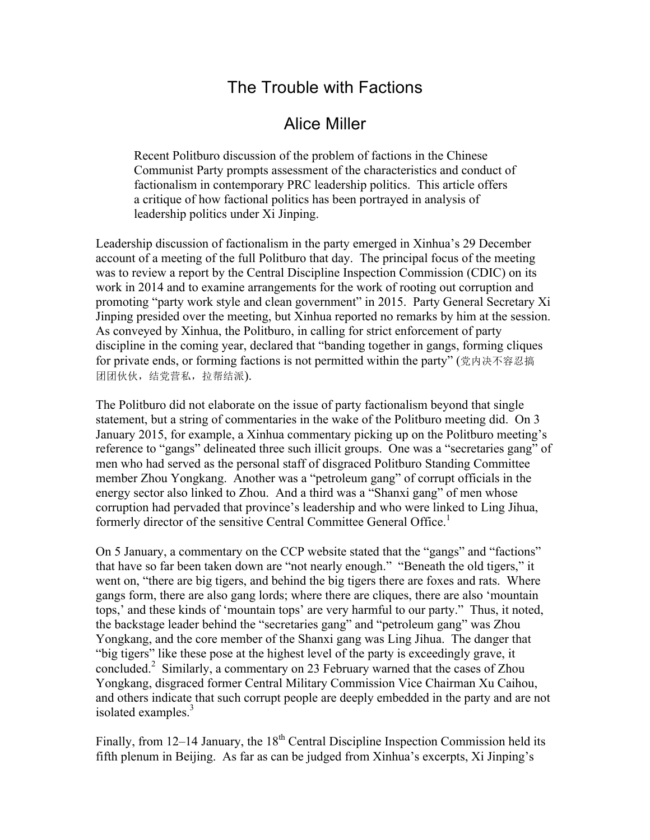# The Trouble with Factions

# Alice Miller

Recent Politburo discussion of the problem of factions in the Chinese Communist Party prompts assessment of the characteristics and conduct of factionalism in contemporary PRC leadership politics. This article offers a critique of how factional politics has been portrayed in analysis of leadership politics under Xi Jinping.

Leadership discussion of factionalism in the party emerged in Xinhua's 29 December account of a meeting of the full Politburo that day. The principal focus of the meeting was to review a report by the Central Discipline Inspection Commission (CDIC) on its work in 2014 and to examine arrangements for the work of rooting out corruption and promoting "party work style and clean government" in 2015. Party General Secretary Xi Jinping presided over the meeting, but Xinhua reported no remarks by him at the session. As conveyed by Xinhua, the Politburo, in calling for strict enforcement of party discipline in the coming year, declared that "banding together in gangs, forming cliques for private ends, or forming factions is not permitted within the party" (党内决不容忍搞 团团伙伙,结党营私,拉帮结派).

The Politburo did not elaborate on the issue of party factionalism beyond that single statement, but a string of commentaries in the wake of the Politburo meeting did. On 3 January 2015, for example, a Xinhua commentary picking up on the Politburo meeting's reference to "gangs" delineated three such illicit groups. One was a "secretaries gang" of men who had served as the personal staff of disgraced Politburo Standing Committee member Zhou Yongkang. Another was a "petroleum gang" of corrupt officials in the energy sector also linked to Zhou. And a third was a "Shanxi gang" of men whose corruption had pervaded that province's leadership and who were linked to Ling Jihua, formerly director of the sensitive Central Committee General Office.<sup>1</sup>

On 5 January, a commentary on the CCP website stated that the "gangs" and "factions" that have so far been taken down are "not nearly enough." "Beneath the old tigers," it went on, "there are big tigers, and behind the big tigers there are foxes and rats. Where gangs form, there are also gang lords; where there are cliques, there are also 'mountain tops,' and these kinds of 'mountain tops' are very harmful to our party." Thus, it noted, the backstage leader behind the "secretaries gang" and "petroleum gang" was Zhou Yongkang, and the core member of the Shanxi gang was Ling Jihua. The danger that "big tigers" like these pose at the highest level of the party is exceedingly grave, it concluded.<sup>2</sup> Similarly, a commentary on 23 February warned that the cases of Zhou Yongkang, disgraced former Central Military Commission Vice Chairman Xu Caihou, and others indicate that such corrupt people are deeply embedded in the party and are not isolated examples.<sup>3</sup>

Finally, from 12–14 January, the  $18<sup>th</sup>$  Central Discipline Inspection Commission held its fifth plenum in Beijing. As far as can be judged from Xinhua's excerpts, Xi Jinping's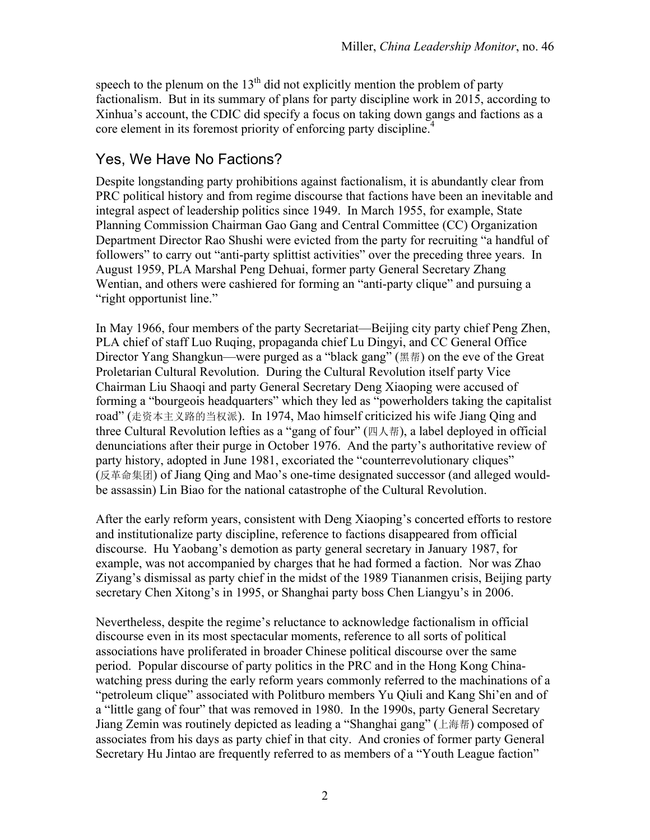speech to the plenum on the  $13<sup>th</sup>$  did not explicitly mention the problem of party factionalism. But in its summary of plans for party discipline work in 2015, according to Xinhua's account, the CDIC did specify a focus on taking down gangs and factions as a core element in its foremost priority of enforcing party discipline.<sup>4</sup>

### Yes, We Have No Factions?

Despite longstanding party prohibitions against factionalism, it is abundantly clear from PRC political history and from regime discourse that factions have been an inevitable and integral aspect of leadership politics since 1949. In March 1955, for example, State Planning Commission Chairman Gao Gang and Central Committee (CC) Organization Department Director Rao Shushi were evicted from the party for recruiting "a handful of followers" to carry out "anti-party splittist activities" over the preceding three years. In August 1959, PLA Marshal Peng Dehuai, former party General Secretary Zhang Wentian, and others were cashiered for forming an "anti-party clique" and pursuing a "right opportunist line."

In May 1966, four members of the party Secretariat—Beijing city party chief Peng Zhen, PLA chief of staff Luo Ruqing, propaganda chief Lu Dingyi, and CC General Office Director Yang Shangkun—were purged as a "black gang" (黑帮) on the eve of the Great Proletarian Cultural Revolution. During the Cultural Revolution itself party Vice Chairman Liu Shaoqi and party General Secretary Deng Xiaoping were accused of forming a "bourgeois headquarters" which they led as "powerholders taking the capitalist road" (走资本主义路的当权派). In 1974, Mao himself criticized his wife Jiang Qing and three Cultural Revolution lefties as a "gang of four" (四人帮), a label deployed in official denunciations after their purge in October 1976. And the party's authoritative review of party history, adopted in June 1981, excoriated the "counterrevolutionary cliques" (反革命集团) of Jiang Qing and Mao's one-time designated successor (and alleged wouldbe assassin) Lin Biao for the national catastrophe of the Cultural Revolution.

After the early reform years, consistent with Deng Xiaoping's concerted efforts to restore and institutionalize party discipline, reference to factions disappeared from official discourse. Hu Yaobang's demotion as party general secretary in January 1987, for example, was not accompanied by charges that he had formed a faction. Nor was Zhao Ziyang's dismissal as party chief in the midst of the 1989 Tiananmen crisis, Beijing party secretary Chen Xitong's in 1995, or Shanghai party boss Chen Liangyu's in 2006.

Nevertheless, despite the regime's reluctance to acknowledge factionalism in official discourse even in its most spectacular moments, reference to all sorts of political associations have proliferated in broader Chinese political discourse over the same period. Popular discourse of party politics in the PRC and in the Hong Kong Chinawatching press during the early reform years commonly referred to the machinations of a "petroleum clique" associated with Politburo members Yu Qiuli and Kang Shi'en and of a "little gang of four" that was removed in 1980. In the 1990s, party General Secretary Jiang Zemin was routinely depicted as leading a "Shanghai gang" (上海帮) composed of associates from his days as party chief in that city. And cronies of former party General Secretary Hu Jintao are frequently referred to as members of a "Youth League faction"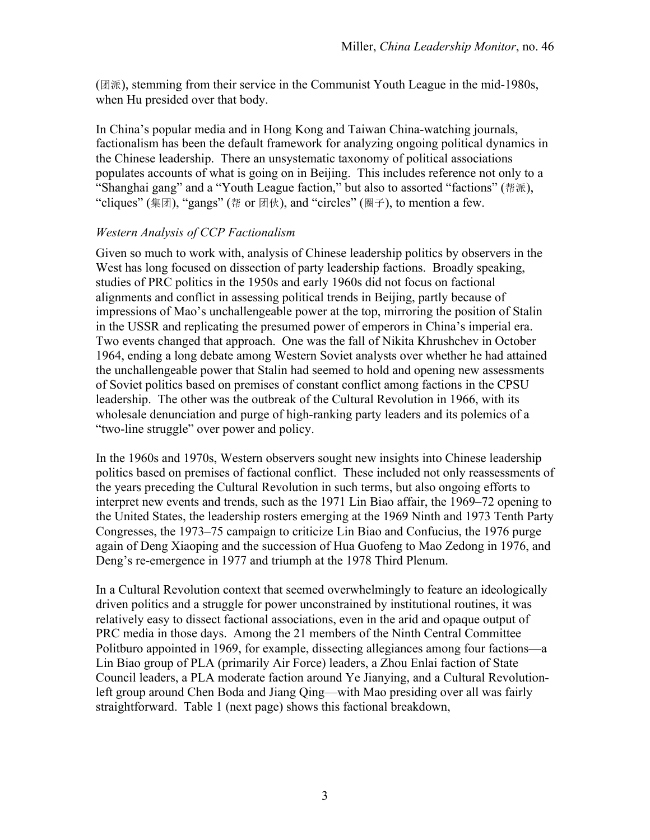(团派), stemming from their service in the Communist Youth League in the mid-1980s, when Hu presided over that body.

In China's popular media and in Hong Kong and Taiwan China-watching journals, factionalism has been the default framework for analyzing ongoing political dynamics in the Chinese leadership. There an unsystematic taxonomy of political associations populates accounts of what is going on in Beijing. This includes reference not only to a "Shanghai gang" and a "Youth League faction," but also to assorted "factions" (帮派), "cliques" (集团), "gangs" (帮 or 团伙), and "circles" (圈子), to mention a few.

### *Western Analysis of CCP Factionalism*

Given so much to work with, analysis of Chinese leadership politics by observers in the West has long focused on dissection of party leadership factions. Broadly speaking, studies of PRC politics in the 1950s and early 1960s did not focus on factional alignments and conflict in assessing political trends in Beijing, partly because of impressions of Mao's unchallengeable power at the top, mirroring the position of Stalin in the USSR and replicating the presumed power of emperors in China's imperial era. Two events changed that approach. One was the fall of Nikita Khrushchev in October 1964, ending a long debate among Western Soviet analysts over whether he had attained the unchallengeable power that Stalin had seemed to hold and opening new assessments of Soviet politics based on premises of constant conflict among factions in the CPSU leadership. The other was the outbreak of the Cultural Revolution in 1966, with its wholesale denunciation and purge of high-ranking party leaders and its polemics of a "two-line struggle" over power and policy.

In the 1960s and 1970s, Western observers sought new insights into Chinese leadership politics based on premises of factional conflict. These included not only reassessments of the years preceding the Cultural Revolution in such terms, but also ongoing efforts to interpret new events and trends, such as the 1971 Lin Biao affair, the 1969–72 opening to the United States, the leadership rosters emerging at the 1969 Ninth and 1973 Tenth Party Congresses, the 1973–75 campaign to criticize Lin Biao and Confucius, the 1976 purge again of Deng Xiaoping and the succession of Hua Guofeng to Mao Zedong in 1976, and Deng's re-emergence in 1977 and triumph at the 1978 Third Plenum.

In a Cultural Revolution context that seemed overwhelmingly to feature an ideologically driven politics and a struggle for power unconstrained by institutional routines, it was relatively easy to dissect factional associations, even in the arid and opaque output of PRC media in those days. Among the 21 members of the Ninth Central Committee Politburo appointed in 1969, for example, dissecting allegiances among four factions—a Lin Biao group of PLA (primarily Air Force) leaders, a Zhou Enlai faction of State Council leaders, a PLA moderate faction around Ye Jianying, and a Cultural Revolutionleft group around Chen Boda and Jiang Qing—with Mao presiding over all was fairly straightforward. Table 1 (next page) shows this factional breakdown,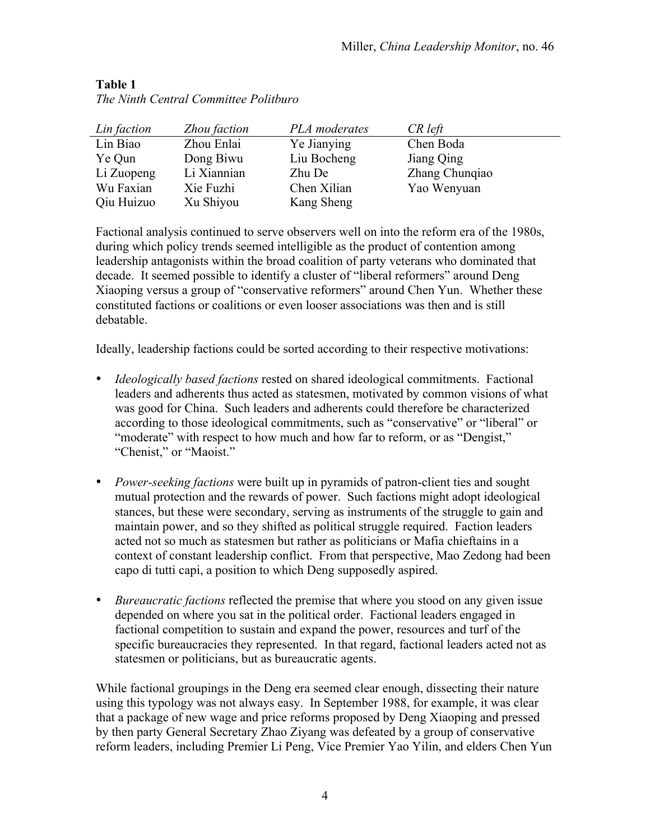| Lin faction | Zhou faction | PLA moderates | CR left        |
|-------------|--------------|---------------|----------------|
| Lin Biao    | Zhou Enlai   | Ye Jianying   | Chen Boda      |
| Ye Qun      | Dong Biwu    | Liu Bocheng   | Jiang Qing     |
| Li Zuopeng  | Li Xiannian  | Zhu De        | Zhang Chunqiao |
| Wu Faxian   | Xie Fuzhi    | Chen Xilian   | Yao Wenyuan    |
| Qiu Huizuo  | Xu Shiyou    | Kang Sheng    |                |

### **Table 1** *The Ninth Central Committee Politburo*

Factional analysis continued to serve observers well on into the reform era of the 1980s, during which policy trends seemed intelligible as the product of contention among leadership antagonists within the broad coalition of party veterans who dominated that decade. It seemed possible to identify a cluster of "liberal reformers" around Deng Xiaoping versus a group of "conservative reformers" around Chen Yun. Whether these constituted factions or coalitions or even looser associations was then and is still debatable.

Ideally, leadership factions could be sorted according to their respective motivations:

- *Ideologically based factions* rested on shared ideological commitments. Factional leaders and adherents thus acted as statesmen, motivated by common visions of what was good for China. Such leaders and adherents could therefore be characterized according to those ideological commitments, such as "conservative" or "liberal" or "moderate" with respect to how much and how far to reform, or as "Dengist," "Chenist," or "Maoist."
- *Power-seeking factions* were built up in pyramids of patron-client ties and sought mutual protection and the rewards of power. Such factions might adopt ideological stances, but these were secondary, serving as instruments of the struggle to gain and maintain power, and so they shifted as political struggle required. Faction leaders acted not so much as statesmen but rather as politicians or Mafia chieftains in a context of constant leadership conflict. From that perspective, Mao Zedong had been capo di tutti capi, a position to which Deng supposedly aspired.
- *Bureaucratic factions* reflected the premise that where you stood on any given issue depended on where you sat in the political order. Factional leaders engaged in factional competition to sustain and expand the power, resources and turf of the specific bureaucracies they represented. In that regard, factional leaders acted not as statesmen or politicians, but as bureaucratic agents.

While factional groupings in the Deng era seemed clear enough, dissecting their nature using this typology was not always easy. In September 1988, for example, it was clear that a package of new wage and price reforms proposed by Deng Xiaoping and pressed by then party General Secretary Zhao Ziyang was defeated by a group of conservative reform leaders, including Premier Li Peng, Vice Premier Yao Yilin, and elders Chen Yun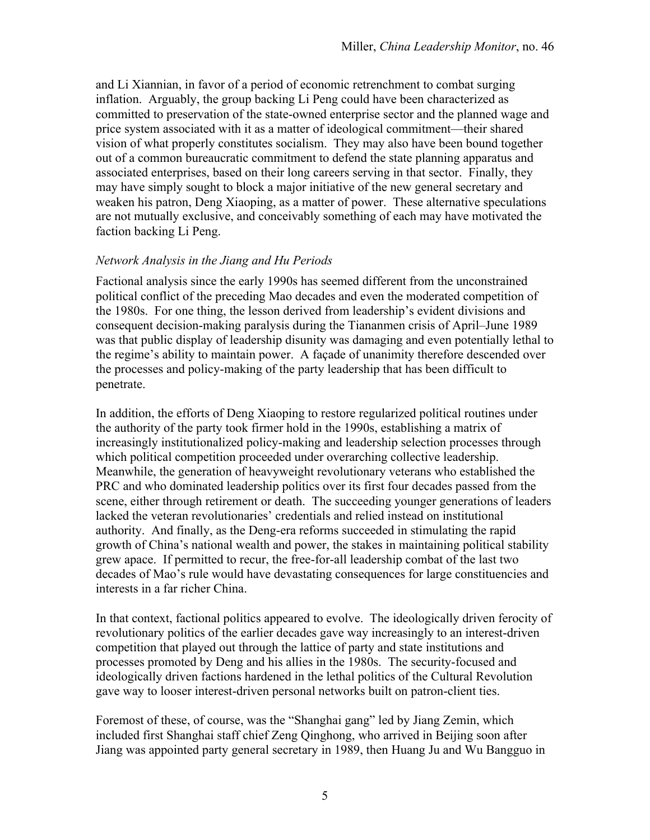and Li Xiannian, in favor of a period of economic retrenchment to combat surging inflation. Arguably, the group backing Li Peng could have been characterized as committed to preservation of the state-owned enterprise sector and the planned wage and price system associated with it as a matter of ideological commitment—their shared vision of what properly constitutes socialism. They may also have been bound together out of a common bureaucratic commitment to defend the state planning apparatus and associated enterprises, based on their long careers serving in that sector. Finally, they may have simply sought to block a major initiative of the new general secretary and weaken his patron, Deng Xiaoping, as a matter of power. These alternative speculations are not mutually exclusive, and conceivably something of each may have motivated the faction backing Li Peng.

#### *Network Analysis in the Jiang and Hu Periods*

Factional analysis since the early 1990s has seemed different from the unconstrained political conflict of the preceding Mao decades and even the moderated competition of the 1980s. For one thing, the lesson derived from leadership's evident divisions and consequent decision-making paralysis during the Tiananmen crisis of April–June 1989 was that public display of leadership disunity was damaging and even potentially lethal to the regime's ability to maintain power. A façade of unanimity therefore descended over the processes and policy-making of the party leadership that has been difficult to penetrate.

In addition, the efforts of Deng Xiaoping to restore regularized political routines under the authority of the party took firmer hold in the 1990s, establishing a matrix of increasingly institutionalized policy-making and leadership selection processes through which political competition proceeded under overarching collective leadership. Meanwhile, the generation of heavyweight revolutionary veterans who established the PRC and who dominated leadership politics over its first four decades passed from the scene, either through retirement or death. The succeeding younger generations of leaders lacked the veteran revolutionaries' credentials and relied instead on institutional authority. And finally, as the Deng-era reforms succeeded in stimulating the rapid growth of China's national wealth and power, the stakes in maintaining political stability grew apace. If permitted to recur, the free-for-all leadership combat of the last two decades of Mao's rule would have devastating consequences for large constituencies and interests in a far richer China.

In that context, factional politics appeared to evolve. The ideologically driven ferocity of revolutionary politics of the earlier decades gave way increasingly to an interest-driven competition that played out through the lattice of party and state institutions and processes promoted by Deng and his allies in the 1980s. The security-focused and ideologically driven factions hardened in the lethal politics of the Cultural Revolution gave way to looser interest-driven personal networks built on patron-client ties.

Foremost of these, of course, was the "Shanghai gang" led by Jiang Zemin, which included first Shanghai staff chief Zeng Qinghong, who arrived in Beijing soon after Jiang was appointed party general secretary in 1989, then Huang Ju and Wu Bangguo in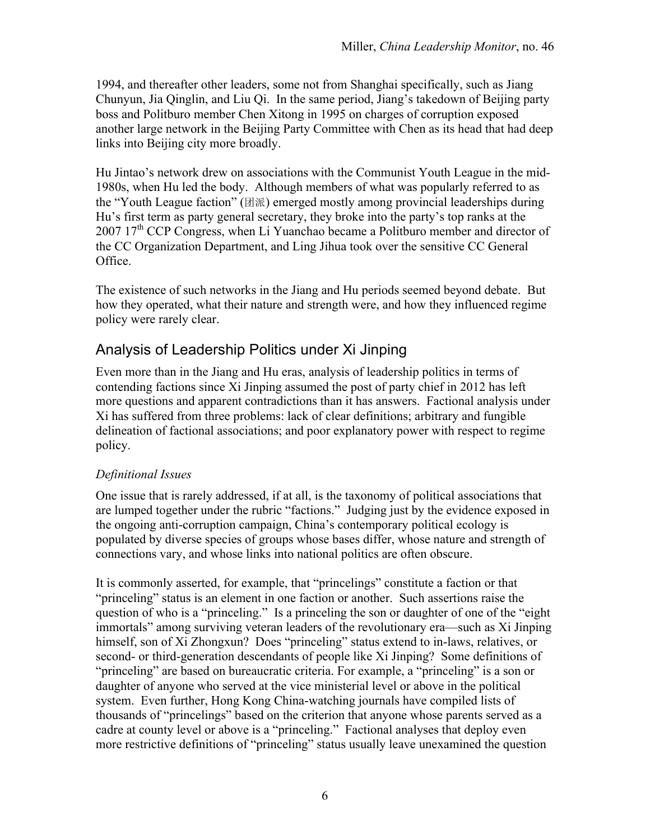1994, and thereafter other leaders, some not from Shanghai specifically, such as Jiang Chunyun, Jia Qinglin, and Liu Qi. In the same period, Jiang's takedown of Beijing party boss and Politburo member Chen Xitong in 1995 on charges of corruption exposed another large network in the Beijing Party Committee with Chen as its head that had deep links into Beijing city more broadly.

Hu Jintao's network drew on associations with the Communist Youth League in the mid-1980s, when Hu led the body. Although members of what was popularly referred to as the "Youth League faction" (团派) emerged mostly among provincial leaderships during Hu's first term as party general secretary, they broke into the party's top ranks at the  $2007$  17<sup>th</sup> CCP Congress, when Li Yuanchao became a Politburo member and director of the CC Organization Department, and Ling Jihua took over the sensitive CC General Office.

The existence of such networks in the Jiang and Hu periods seemed beyond debate. But how they operated, what their nature and strength were, and how they influenced regime policy were rarely clear.

## Analysis of Leadership Politics under Xi Jinping

Even more than in the Jiang and Hu eras, analysis of leadership politics in terms of contending factions since Xi Jinping assumed the post of party chief in 2012 has left more questions and apparent contradictions than it has answers. Factional analysis under Xi has suffered from three problems: lack of clear definitions; arbitrary and fungible delineation of factional associations; and poor explanatory power with respect to regime policy.

### *Definitional Issues*

One issue that is rarely addressed, if at all, is the taxonomy of political associations that are lumped together under the rubric "factions." Judging just by the evidence exposed in the ongoing anti-corruption campaign, China's contemporary political ecology is populated by diverse species of groups whose bases differ, whose nature and strength of connections vary, and whose links into national politics are often obscure.

It is commonly asserted, for example, that "princelings" constitute a faction or that "princeling" status is an element in one faction or another. Such assertions raise the question of who is a "princeling." Is a princeling the son or daughter of one of the "eight immortals" among surviving veteran leaders of the revolutionary era—such as Xi Jinping himself, son of Xi Zhongxun? Does "princeling" status extend to in-laws, relatives, or second- or third-generation descendants of people like Xi Jinping? Some definitions of "princeling" are based on bureaucratic criteria. For example, a "princeling" is a son or daughter of anyone who served at the vice ministerial level or above in the political system. Even further, Hong Kong China-watching journals have compiled lists of thousands of "princelings" based on the criterion that anyone whose parents served as a cadre at county level or above is a "princeling." Factional analyses that deploy even more restrictive definitions of "princeling" status usually leave unexamined the question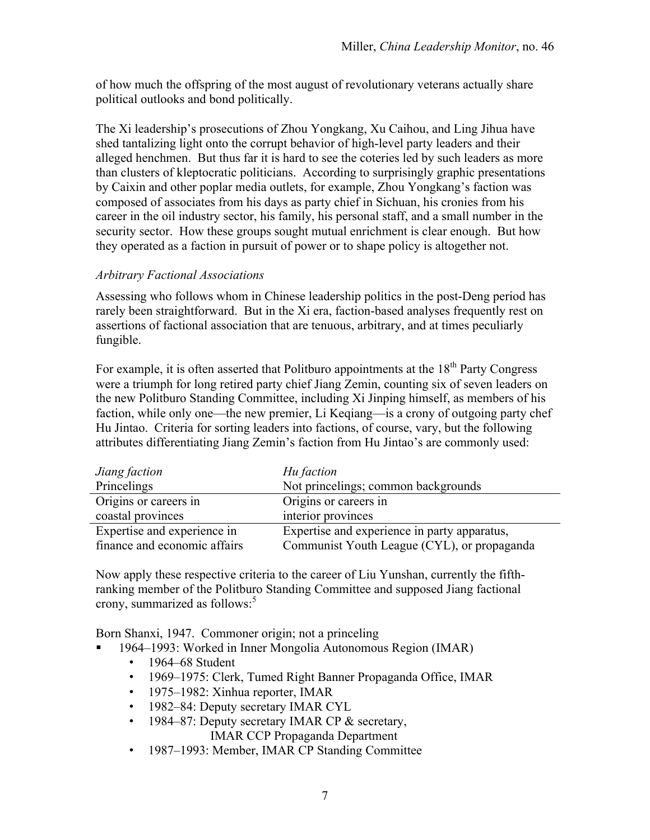of how much the offspring of the most august of revolutionary veterans actually share political outlooks and bond politically.

The Xi leadership's prosecutions of Zhou Yongkang, Xu Caihou, and Ling Jihua have shed tantalizing light onto the corrupt behavior of high-level party leaders and their alleged henchmen. But thus far it is hard to see the coteries led by such leaders as more than clusters of kleptocratic politicians. According to surprisingly graphic presentations by Caixin and other poplar media outlets, for example, Zhou Yongkang's faction was composed of associates from his days as party chief in Sichuan, his cronies from his career in the oil industry sector, his family, his personal staff, and a small number in the security sector. How these groups sought mutual enrichment is clear enough. But how they operated as a faction in pursuit of power or to shape policy is altogether not.

### *Arbitrary Factional Associations*

Assessing who follows whom in Chinese leadership politics in the post-Deng period has rarely been straightforward. But in the Xi era, faction-based analyses frequently rest on assertions of factional association that are tenuous, arbitrary, and at times peculiarly fungible.

For example, it is often asserted that Politburo appointments at the  $18<sup>th</sup>$  Party Congress were a triumph for long retired party chief Jiang Zemin, counting six of seven leaders on the new Politburo Standing Committee, including Xi Jinping himself, as members of his faction, while only one—the new premier, Li Keqiang—is a crony of outgoing party chef Hu Jintao. Criteria for sorting leaders into factions, of course, vary, but the following attributes differentiating Jiang Zemin's faction from Hu Jintao's are commonly used:

| Jiang faction                | Hu faction                                   |  |
|------------------------------|----------------------------------------------|--|
| Princelings                  | Not princelings; common backgrounds          |  |
| Origins or careers in        | Origins or careers in                        |  |
| coastal provinces            | interior provinces                           |  |
| Expertise and experience in  | Expertise and experience in party apparatus, |  |
| finance and economic affairs | Communist Youth League (CYL), or propaganda  |  |

Now apply these respective criteria to the career of Liu Yunshan, currently the fifthranking member of the Politburo Standing Committee and supposed Jiang factional crony, summarized as follows:<sup>5</sup>

Born Shanxi, 1947. Commoner origin; not a princeling

- § 1964–1993: Worked in Inner Mongolia Autonomous Region (IMAR)
	- 1964–68 Student
	- 1969–1975: Clerk, Tumed Right Banner Propaganda Office, IMAR
	- 1975–1982: Xinhua reporter, IMAR
	- 1982–84: Deputy secretary IMAR CYL
	- 1984–87: Deputy secretary IMAR CP & secretary, IMAR CCP Propaganda Department
	- 1987–1993: Member, IMAR CP Standing Committee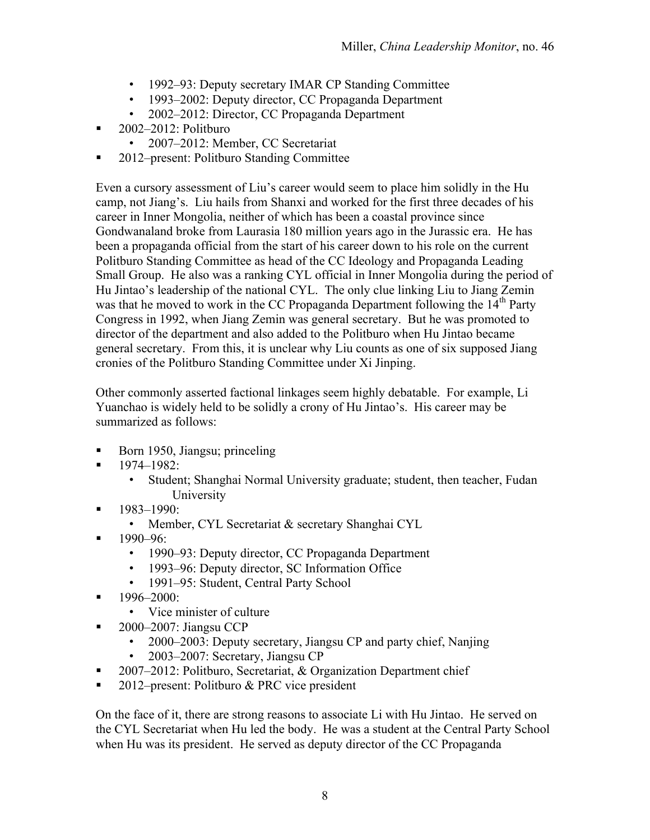- 1992–93: Deputy secretary IMAR CP Standing Committee
- 1993–2002: Deputy director, CC Propaganda Department
- 2002–2012: Director, CC Propaganda Department
- $\blacksquare$  2002–2012: Politburo
	- 2007–2012: Member, CC Secretariat
- 2012–present: Politburo Standing Committee

Even a cursory assessment of Liu's career would seem to place him solidly in the Hu camp, not Jiang's. Liu hails from Shanxi and worked for the first three decades of his career in Inner Mongolia, neither of which has been a coastal province since Gondwanaland broke from Laurasia 180 million years ago in the Jurassic era. He has been a propaganda official from the start of his career down to his role on the current Politburo Standing Committee as head of the CC Ideology and Propaganda Leading Small Group. He also was a ranking CYL official in Inner Mongolia during the period of Hu Jintao's leadership of the national CYL. The only clue linking Liu to Jiang Zemin was that he moved to work in the CC Propaganda Department following the  $14<sup>th</sup>$  Party Congress in 1992, when Jiang Zemin was general secretary. But he was promoted to director of the department and also added to the Politburo when Hu Jintao became general secretary. From this, it is unclear why Liu counts as one of six supposed Jiang cronies of the Politburo Standing Committee under Xi Jinping.

Other commonly asserted factional linkages seem highly debatable. For example, Li Yuanchao is widely held to be solidly a crony of Hu Jintao's. His career may be summarized as follows:

- Born 1950, Jiangsu; princeling
- 1974–1982:
	- Student; Shanghai Normal University graduate; student, then teacher, Fudan University
- **1983–1990:** 
	- Member, CYL Secretariat & secretary Shanghai CYL
- $1990 96$ 
	- 1990–93: Deputy director, CC Propaganda Department
	- 1993–96: Deputy director, SC Information Office
	- 1991–95: Student, Central Party School
- $\blacksquare$  1996–2000;
	- Vice minister of culture
- 2000–2007: Jiangsu CCP
	- 2000–2003: Deputy secretary, Jiangsu CP and party chief, Nanjing<br>• 2003–2007: Secretary Jiangsu CP
	- 2003–2007: Secretary, Jiangsu CP
- 2007–2012: Politburo, Secretariat, & Organization Department chief
- 2012–present: Politburo & PRC vice president

On the face of it, there are strong reasons to associate Li with Hu Jintao. He served on the CYL Secretariat when Hu led the body. He was a student at the Central Party School when Hu was its president. He served as deputy director of the CC Propaganda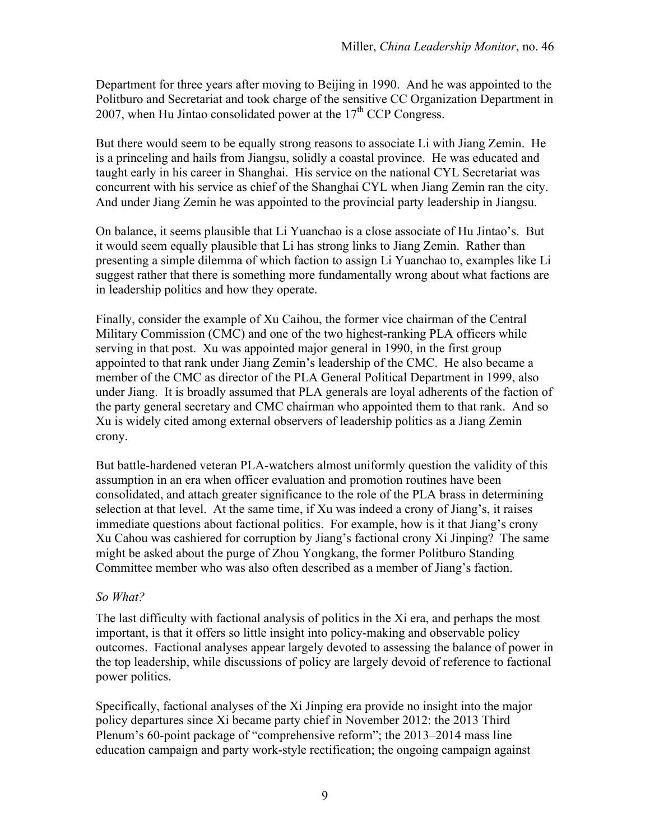Department for three years after moving to Beijing in 1990. And he was appointed to the Politburo and Secretariat and took charge of the sensitive CC Organization Department in 2007, when Hu Jintao consolidated power at the  $17<sup>th</sup>$  CCP Congress.

But there would seem to be equally strong reasons to associate Li with Jiang Zemin. He is a princeling and hails from Jiangsu, solidly a coastal province. He was educated and taught early in his career in Shanghai. His service on the national CYL Secretariat was concurrent with his service as chief of the Shanghai CYL when Jiang Zemin ran the city. And under Jiang Zemin he was appointed to the provincial party leadership in Jiangsu.

On balance, it seems plausible that Li Yuanchao is a close associate of Hu Jintao's. But it would seem equally plausible that Li has strong links to Jiang Zemin. Rather than presenting a simple dilemma of which faction to assign Li Yuanchao to, examples like Li suggest rather that there is something more fundamentally wrong about what factions are in leadership politics and how they operate.

Finally, consider the example of Xu Caihou, the former vice chairman of the Central Military Commission (CMC) and one of the two highest-ranking PLA officers while serving in that post. Xu was appointed major general in 1990, in the first group appointed to that rank under Jiang Zemin's leadership of the CMC. He also became a member of the CMC as director of the PLA General Political Department in 1999, also under Jiang. It is broadly assumed that PLA generals are loyal adherents of the faction of the party general secretary and CMC chairman who appointed them to that rank. And so Xu is widely cited among external observers of leadership politics as a Jiang Zemin crony.

But battle-hardened veteran PLA-watchers almost uniformly question the validity of this assumption in an era when officer evaluation and promotion routines have been consolidated, and attach greater significance to the role of the PLA brass in determining selection at that level. At the same time, if Xu was indeed a crony of Jiang's, it raises immediate questions about factional politics. For example, how is it that Jiang's crony Xu Cahou was cashiered for corruption by Jiang's factional crony Xi Jinping? The same might be asked about the purge of Zhou Yongkang, the former Politburo Standing Committee member who was also often described as a member of Jiang's faction.

#### *So What?*

The last difficulty with factional analysis of politics in the Xi era, and perhaps the most important, is that it offers so little insight into policy-making and observable policy outcomes. Factional analyses appear largely devoted to assessing the balance of power in the top leadership, while discussions of policy are largely devoid of reference to factional power politics.

Specifically, factional analyses of the Xi Jinping era provide no insight into the major policy departures since Xi became party chief in November 2012: the 2013 Third Plenum's 60-point package of "comprehensive reform"; the 2013–2014 mass line education campaign and party work-style rectification; the ongoing campaign against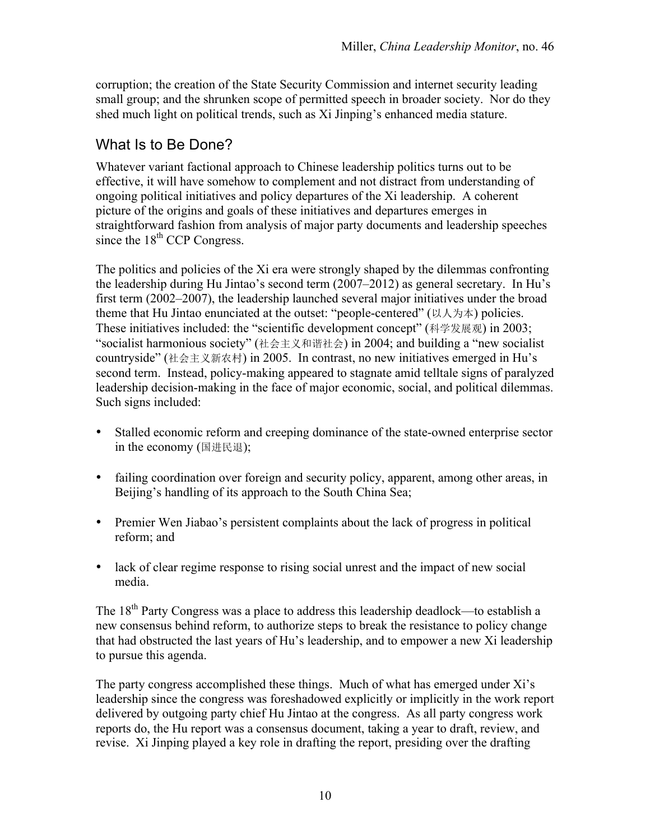corruption; the creation of the State Security Commission and internet security leading small group; and the shrunken scope of permitted speech in broader society. Nor do they shed much light on political trends, such as Xi Jinping's enhanced media stature.

## What Is to Be Done?

Whatever variant factional approach to Chinese leadership politics turns out to be effective, it will have somehow to complement and not distract from understanding of ongoing political initiatives and policy departures of the Xi leadership. A coherent picture of the origins and goals of these initiatives and departures emerges in straightforward fashion from analysis of major party documents and leadership speeches since the  $18<sup>th</sup>$  CCP Congress.

The politics and policies of the Xi era were strongly shaped by the dilemmas confronting the leadership during Hu Jintao's second term (2007–2012) as general secretary. In Hu's first term (2002–2007), the leadership launched several major initiatives under the broad theme that Hu Jintao enunciated at the outset: "people-centered" (以人为本) policies. These initiatives included: the "scientific development concept" (科学发展观) in 2003; "socialist harmonious society" (社会主义和谐社会) in 2004; and building a "new socialist countryside" (社会主义新农村) in 2005. In contrast, no new initiatives emerged in Hu's second term. Instead, policy-making appeared to stagnate amid telltale signs of paralyzed leadership decision-making in the face of major economic, social, and political dilemmas. Such signs included:

- Stalled economic reform and creeping dominance of the state-owned enterprise sector in the economy (国进民退);
- failing coordination over foreign and security policy, apparent, among other areas, in Beijing's handling of its approach to the South China Sea;
- Premier Wen Jiabao's persistent complaints about the lack of progress in political reform; and
- lack of clear regime response to rising social unrest and the impact of new social media.

The 18<sup>th</sup> Party Congress was a place to address this leadership deadlock—to establish a new consensus behind reform, to authorize steps to break the resistance to policy change that had obstructed the last years of Hu's leadership, and to empower a new Xi leadership to pursue this agenda.

The party congress accomplished these things. Much of what has emerged under Xi's leadership since the congress was foreshadowed explicitly or implicitly in the work report delivered by outgoing party chief Hu Jintao at the congress. As all party congress work reports do, the Hu report was a consensus document, taking a year to draft, review, and revise. Xi Jinping played a key role in drafting the report, presiding over the drafting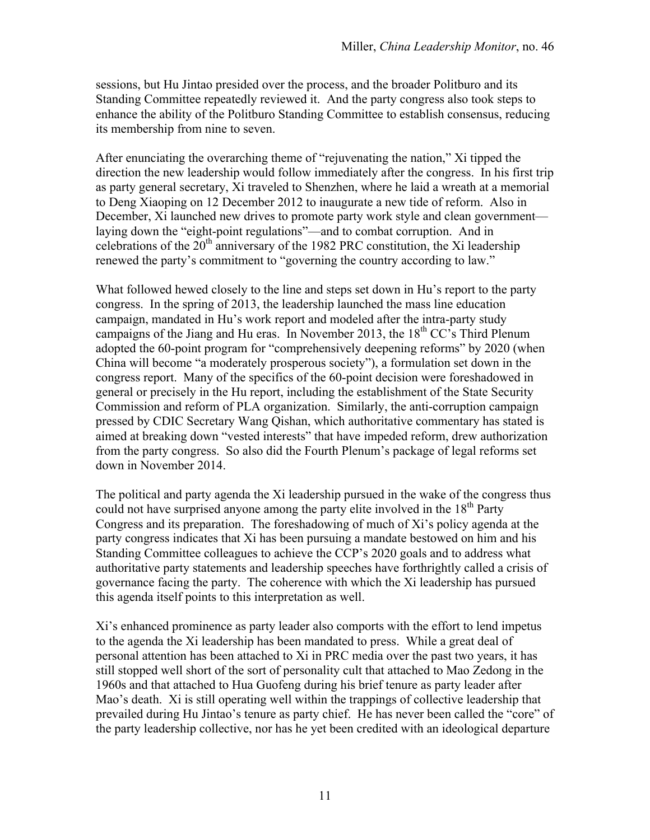sessions, but Hu Jintao presided over the process, and the broader Politburo and its Standing Committee repeatedly reviewed it. And the party congress also took steps to enhance the ability of the Politburo Standing Committee to establish consensus, reducing its membership from nine to seven.

After enunciating the overarching theme of "rejuvenating the nation," Xi tipped the direction the new leadership would follow immediately after the congress. In his first trip as party general secretary, Xi traveled to Shenzhen, where he laid a wreath at a memorial to Deng Xiaoping on 12 December 2012 to inaugurate a new tide of reform. Also in December, Xi launched new drives to promote party work style and clean government laying down the "eight-point regulations"—and to combat corruption. And in celebrations of the  $20<sup>th</sup>$  anniversary of the 1982 PRC constitution, the Xi leadership renewed the party's commitment to "governing the country according to law."

What followed hewed closely to the line and steps set down in Hu's report to the party congress. In the spring of 2013, the leadership launched the mass line education campaign, mandated in Hu's work report and modeled after the intra-party study campaigns of the Jiang and Hu eras. In November 2013, the  $18<sup>th</sup> CC's Third Plenum$ adopted the 60-point program for "comprehensively deepening reforms" by 2020 (when China will become "a moderately prosperous society"), a formulation set down in the congress report. Many of the specifics of the 60-point decision were foreshadowed in general or precisely in the Hu report, including the establishment of the State Security Commission and reform of PLA organization. Similarly, the anti-corruption campaign pressed by CDIC Secretary Wang Qishan, which authoritative commentary has stated is aimed at breaking down "vested interests" that have impeded reform, drew authorization from the party congress. So also did the Fourth Plenum's package of legal reforms set down in November 2014.

The political and party agenda the Xi leadership pursued in the wake of the congress thus could not have surprised anyone among the party elite involved in the  $18<sup>th</sup>$  Party Congress and its preparation. The foreshadowing of much of Xi's policy agenda at the party congress indicates that Xi has been pursuing a mandate bestowed on him and his Standing Committee colleagues to achieve the CCP's 2020 goals and to address what authoritative party statements and leadership speeches have forthrightly called a crisis of governance facing the party. The coherence with which the Xi leadership has pursued this agenda itself points to this interpretation as well.

Xi's enhanced prominence as party leader also comports with the effort to lend impetus to the agenda the Xi leadership has been mandated to press. While a great deal of personal attention has been attached to Xi in PRC media over the past two years, it has still stopped well short of the sort of personality cult that attached to Mao Zedong in the 1960s and that attached to Hua Guofeng during his brief tenure as party leader after Mao's death. Xi is still operating well within the trappings of collective leadership that prevailed during Hu Jintao's tenure as party chief. He has never been called the "core" of the party leadership collective, nor has he yet been credited with an ideological departure